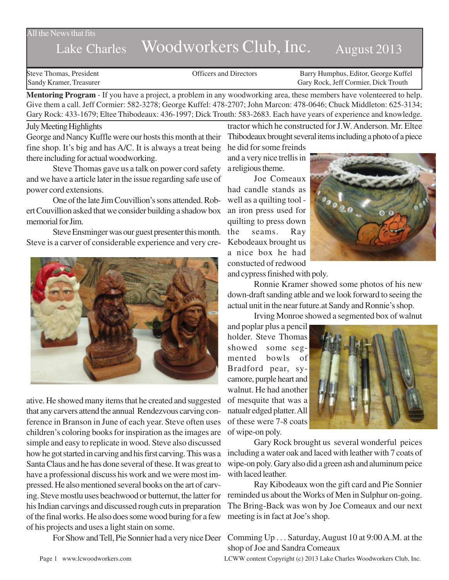### All the News that fits

# Lake Charles Woodworkers Club, Inc. August 2013

Steve Thomas, President **State Concrete Concrete Concrete Concrete Concrete Concrete Concrete Concrete Concrete Concrete Concrete Concrete Concrete Concrete Concrete Concrete Concrete Concrete Concrete Concrete Concrete Co** Sandy Kramer, Treasurer Gary Rock, Jeff Cormier, Dick Trouth

**Mentoring Program** - If you have a project, a problem in any woodworking area, these members have volenteered to help. Give them a call. Jeff Cormier: 582-3278; George Kuffel: 478-2707; John Marcon: 478-0646; Chuck Middleton: 625-3134; Gary Rock: 433-1679; Eltee Thibodeaux: 436-1997; Dick Trouth: 583-2683. Each have years of experience and knowledge.

#### July Meeting Highlights

George and Nancy Kuffle were our hosts this month at their fine shop. It's big and has A/C. It is always a treat being there including for actual woodworking.

Steve Thomas gave us a talk on power cord safety and we have a article later in the issue regarding safe use of power cord extensions.

One of the late Jim Couvillion's sons attended. Robert Couvillion asked that we consider building a shadow box memorial for Jim.

Steve Ensminger was our guest presenter this month. Steve is a carver of considerable experience and very cre-



ative. He showed many items that he created and suggested that any carvers attend the annual Rendezvous carving conference in Branson in June of each year. Steve often uses children's coloring books for inspiration as the images are simple and easy to replicate in wood. Steve also discussed how he got started in carving and his first carving. This was a Santa Claus and he has done several of these. It was great to have a professional discuss his work and we were most impressed. He also mentioned several books on the art of carving. Steve mostlu uses beachwood or butternut, the latter for his Indian carvings and discussed rough cuts in preparation of the final works. He also does some wood buring for a few of his projects and uses a light stain on some.

tractor which he constructed for J.W. Anderson. Mr. Eltee Thibodeaux brought several items including a photo of a piece

he did for some freinds and a very nice trellis in a religious theme.

Joe Comeaux had candle stands as well as a quilting tool an iron press used for quilting to press down the seams. Ray Kebodeaux brought us a nice box he had constucted of redwood



and cypress finished with poly.

Ronnie Kramer showed some photos of his new down-draft sanding atble and we look forward to seeing the actual unit in the near future.at Sandy and Ronnie's shop.

Irving Monroe showed a segmented box of walnut

and poplar plus a pencil holder. Steve Thomas showed some segmented bowls of Bradford pear, sycamore, purple heart and walnut. He had another of mesquite that was a natualr edged platter. All of these were 7-8 coats of wipe-on poly.



Gary Rock brought us several wonderful peices including a water oak and laced with leather with 7 coats of wipe-on poly. Gary also did a green ash and aluminum peice with laced leather.

Ray Kibodeaux won the gift card and Pie Sonnier reminded us about the Works of Men in Sulphur on-going. The Bring-Back was won by Joe Comeaux and our next meeting is in fact at Joe's shop.

For Show and Tell, Pie Sonnier had a very nice Deer Comming Up . . . Saturday, August 10 at 9:00 A.M. at the shop of Joe and Sandra Comeaux

Page 1 www.lcwoodworkers.com LCWW content Copyright (c) 2013 Lake Charles Woodworkers Club, Inc.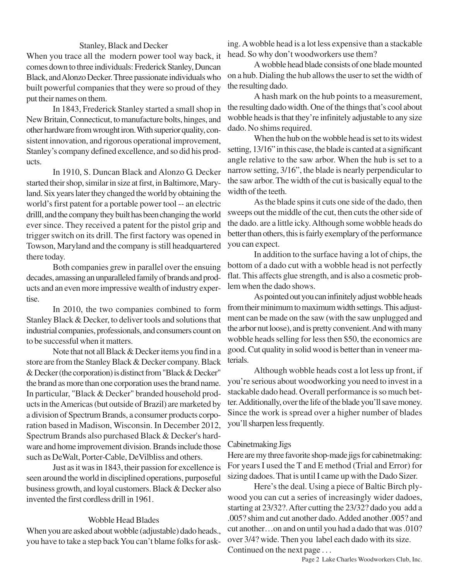#### Stanley, Black and Decker

When you trace all the modern power tool way back, it comes down to three individuals: Frederick Stanley, Duncan Black, and Alonzo Decker. Three passionate individuals who built powerful companies that they were so proud of they put their names on them.

In 1843, Frederick Stanley started a small shop in New Britain, Connecticut, to manufacture bolts, hinges, and other hardware from wrought iron. With superior quality, consistent innovation, and rigorous operational improvement, Stanley's company defined excellence, and so did his products.

In 1910, S. Duncan Black and Alonzo G. Decker started their shop, similar in size at first, in Baltimore, Maryland. Six years later they changed the world by obtaining the world's first patent for a portable power tool -- an electric drilll, and the company they built has been changing the world ever since. They received a patent for the pistol grip and trigger switch on its drill. The first factory was opened in Towson, Maryland and the company is still headquartered there today.

Both companies grew in parallel over the ensuing decades, amassing an unparalleled family of brands and products and an even more impressive wealth of industry expertise.

In 2010, the two companies combined to form Stanley Black & Decker, to deliver tools and solutions that industrial companies, professionals, and consumers count on to be successful when it matters.

Note that not all Black & Decker items you find in a store are from the Stanley Black & Decker company. Black & Decker (the corporation) is distinct from "Black & Decker" the brand as more than one corporation uses the brand name. In particular, "Black & Decker" branded household products in the Americas (but outside of Brazil) are marketed by a division of Spectrum Brands, a consumer products corporation based in Madison, Wisconsin. In December 2012, Spectrum Brands also purchased Black & Decker's hardware and home improvement division. Brands include those such as DeWalt, Porter-Cable, DeVilbliss and others.

Just as it was in 1843, their passion for excellence is seen around the world in disciplined operations, purposeful business growth, and loyal customers. Black & Decker also invented the first cordless drill in 1961.

#### Wobble Head Blades

When you are asked about wobble (adjustable) dado heads., you have to take a step back You can't blame folks for asking. A wobble head is a lot less expensive than a stackable head. So why don't woodworkers use them?

A wobble head blade consists of one blade mounted on a hub. Dialing the hub allows the user to set the width of the resulting dado.

A hash mark on the hub points to a measurement, the resulting dado width. One of the things that's cool about wobble heads is that they're infinitely adjustable to any size dado. No shims required.

When the hub on the wobble head is set to its widest setting, 13/16" in this case, the blade is canted at a significant angle relative to the saw arbor. When the hub is set to a narrow setting, 3/16", the blade is nearly perpendicular to the saw arbor. The width of the cut is basically equal to the width of the teeth.

As the blade spins it cuts one side of the dado, then sweeps out the middle of the cut, then cuts the other side of the dado. are a little icky. Although some wobble heads do better than others, this is fairly exemplary of the performance you can expect.

In addition to the surface having a lot of chips, the bottom of a dado cut with a wobble head is not perfectly flat. This affects glue strength, and is also a cosmetic problem when the dado shows.

As pointed out you can infinitely adjust wobble heads from their minimum to maximum width settings. This adjustment can be made on the saw (with the saw unplugged and the arbor nut loose), and is pretty convenient. And with many wobble heads selling for less then \$50, the economics are good. Cut quality in solid wood is better than in veneer materials.

Although wobble heads cost a lot less up front, if you're serious about woodworking you need to invest in a stackable dado head. Overall performance is so much better. Additionally, over the life of the blade you'll save money. Since the work is spread over a higher number of blades you'll sharpen less frequently.

## Cabinetmaking Jigs

Here are my three favorite shop-made jigs for cabinetmaking: For years I used the T and E method (Trial and Error) for sizing dadoes. That is until I came up with the Dado Sizer.

Here's the deal. Using a piece of Baltic Birch plywood you can cut a series of increasingly wider dadoes, starting at 23/32?. After cutting the 23/32? dado you add a .005? shim and cut another dado. Added another .005? and cut another…on and on until you had a dado that was .010? over 3/4? wide. Then you label each dado with its size. Continued on the next page . . .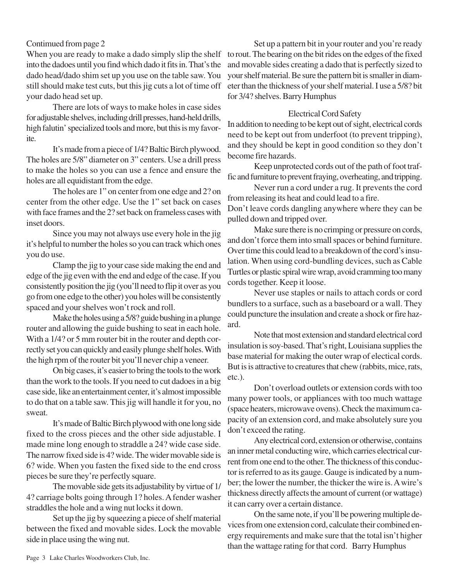## Contimued from page 2

When you are ready to make a dado simply slip the shelf into the dadoes until you find which dado it fits in. That's the dado head/dado shim set up you use on the table saw. You still should make test cuts, but this jig cuts a lot of time off your dado head set up.

There are lots of ways to make holes in case sides for adjustable shelves, including drill presses, hand-held drills, high falutin' specialized tools and more, but this is my favorite.

It's made from a piece of 1/4? Baltic Birch plywood. The holes are 5/8" diameter on 3" centers. Use a drill press to make the holes so you can use a fence and ensure the holes are all equidistant from the edge.

The holes are 1" on center from one edge and 2? on center from the other edge. Use the 1" set back on cases with face frames and the 2? set back on frameless cases with inset doors.

Since you may not always use every hole in the jig it's helpful to number the holes so you can track which ones you do use.

Clamp the jig to your case side making the end and edge of the jig even with the end and edge of the case. If you consistently position the jig (you'll need to flip it over as you go from one edge to the other) you holes will be consistently spaced and your shelves won't rock and roll.

Make the holes using a 5/8? guide bushing in a plunge router and allowing the guide bushing to seat in each hole. With a  $1/4$ ? or 5 mm router bit in the router and depth correctly set you can quickly and easily plunge shelf holes. With the high rpm of the router bit you'll never chip a veneer.

On big cases, it's easier to bring the tools to the work than the work to the tools. If you need to cut dadoes in a big case side, like an entertainment center, it's almost impossible to do that on a table saw. This jig will handle it for you, no sweat.

It's made of Baltic Birch plywood with one long side fixed to the cross pieces and the other side adjustable. I made mine long enough to straddle a 24? wide case side. The narrow fixed side is 4? wide. The wider movable side is 6? wide. When you fasten the fixed side to the end cross pieces be sure they're perfectly square.

The movable side gets its adjustability by virtue of 1/ 4? carriage bolts going through 1? holes. A fender washer straddles the hole and a wing nut locks it down.

Set up the jig by squeezing a piece of shelf material between the fixed and movable sides. Lock the movable side in place using the wing nut.

Set up a pattern bit in your router and you're ready to rout. The bearing on the bit rides on the edges of the fixed and movable sides creating a dado that is perfectly sized to your shelf material. Be sure the pattern bit is smaller in diameter than the thickness of your shelf material. I use a 5/8? bit for 3/4? shelves. Barry Humphus

## Electrical Cord Safety

In addition to needing to be kept out of sight, electrical cords need to be kept out from underfoot (to prevent tripping), and they should be kept in good condition so they don't become fire hazards.

Keep unprotected cords out of the path of foot traffic and furniture to prevent fraying, overheating, and tripping.

Never run a cord under a rug. It prevents the cord from releasing its heat and could lead to a fire.

Don't leave cords dangling anywhere where they can be pulled down and tripped over.

Make sure there is no crimping or pressure on cords, and don't force them into small spaces or behind furniture. Over time this could lead to a breakdown of the cord's insulation. When using cord-bundling devices, such as Cable Turtles or plastic spiral wire wrap, avoid cramming too many cords together. Keep it loose.

Never use staples or nails to attach cords or cord bundlers to a surface, such as a baseboard or a wall. They could puncture the insulation and create a shock or fire hazard.

Note that most extension and standard electrical cord insulation is soy-based. That's right, Louisiana supplies the base material for making the outer wrap of electical cords. But is is attractive to creatures that chew (rabbits, mice, rats, etc.).

Don't overload outlets or extension cords with too many power tools, or appliances with too much wattage (space heaters, microwave ovens). Check the maximum capacity of an extension cord, and make absolutely sure you don't exceed the rating.

Any electrical cord, extension or otherwise, contains an inner metal conducting wire, which carries electrical current from one end to the other. The thickness of this conductor is referred to as its gauge. Gauge is indicated by a number; the lower the number, the thicker the wire is. A wire's thickness directly affects the amount of current (or wattage) it can carry over a certain distance.

On the same note, if you'll be powering multiple devices from one extension cord, calculate their combined energy requirements and make sure that the total isn't higher than the wattage rating for that cord. Barry Humphus